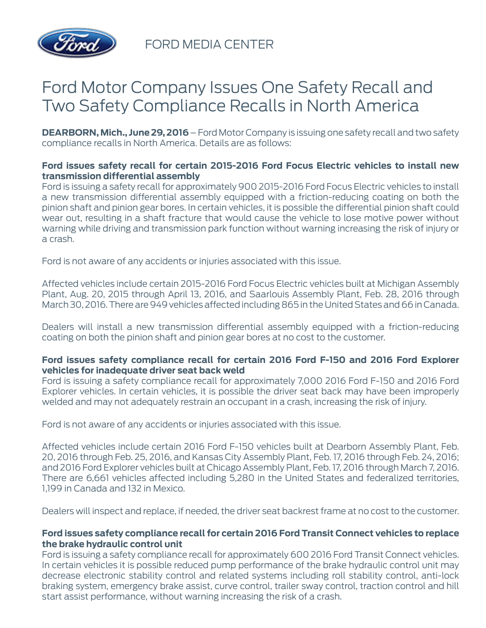

FORD MEDIA CENTER

# Ford Motor Company Issues One Safety Recall and Two Safety Compliance Recalls in North America

**DEARBORN, Mich., June 29, 2016** – Ford Motor Company is issuing one safety recall and two safety compliance recalls in North America. Details are as follows:

## **Ford issues safety recall for certain 2015-2016 Ford Focus Electric vehicles to install new transmission differential assembly**

Ford is issuing a safety recall for approximately 900 2015-2016 Ford Focus Electric vehicles to install a new transmission differential assembly equipped with a friction-reducing coating on both the pinion shaft and pinion gear bores. In certain vehicles, it is possible the differential pinion shaft could wear out, resulting in a shaft fracture that would cause the vehicle to lose motive power without warning while driving and transmission park function without warning increasing the risk of injury or a crash.

Ford is not aware of any accidents or injuries associated with this issue.

Affected vehicles include certain 2015-2016 Ford Focus Electric vehicles built at Michigan Assembly Plant, Aug. 20, 2015 through April 13, 2016, and Saarlouis Assembly Plant, Feb. 28, 2016 through March 30, 2016. There are 949 vehicles affected including 865 in the United States and 66 in Canada.

Dealers will install a new transmission differential assembly equipped with a friction-reducing coating on both the pinion shaft and pinion gear bores at no cost to the customer.

### **Ford issues safety compliance recall for certain 2016 Ford F-150 and 2016 Ford Explorer vehicles for inadequate driver seat back weld**

Ford is issuing a safety compliance recall for approximately 7,000 2016 Ford F-150 and 2016 Ford Explorer vehicles. In certain vehicles, it is possible the driver seat back may have been improperly welded and may not adequately restrain an occupant in a crash, increasing the risk of injury.

Ford is not aware of any accidents or injuries associated with this issue.

Affected vehicles include certain 2016 Ford F-150 vehicles built at Dearborn Assembly Plant, Feb. 20, 2016 through Feb. 25, 2016, and Kansas City Assembly Plant, Feb. 17, 2016 through Feb. 24, 2016; and 2016 Ford Explorer vehicles built at Chicago Assembly Plant, Feb. 17, 2016 through March 7, 2016. There are 6,661 vehicles affected including 5,280 in the United States and federalized territories, 1,199 in Canada and 132 in Mexico.

Dealers will inspect and replace, if needed, the driver seat backrest frame at no cost to the customer.

### **Ford issues safety compliance recall for certain 2016 Ford Transit Connect vehicles to replace the brake hydraulic control unit**

Ford is issuing a safety compliance recall for approximately 600 2016 Ford Transit Connect vehicles. In certain vehicles it is possible reduced pump performance of the brake hydraulic control unit may decrease electronic stability control and related systems including roll stability control, anti-lock braking system, emergency brake assist, curve control, trailer sway control, traction control and hill start assist performance, without warning increasing the risk of a crash.